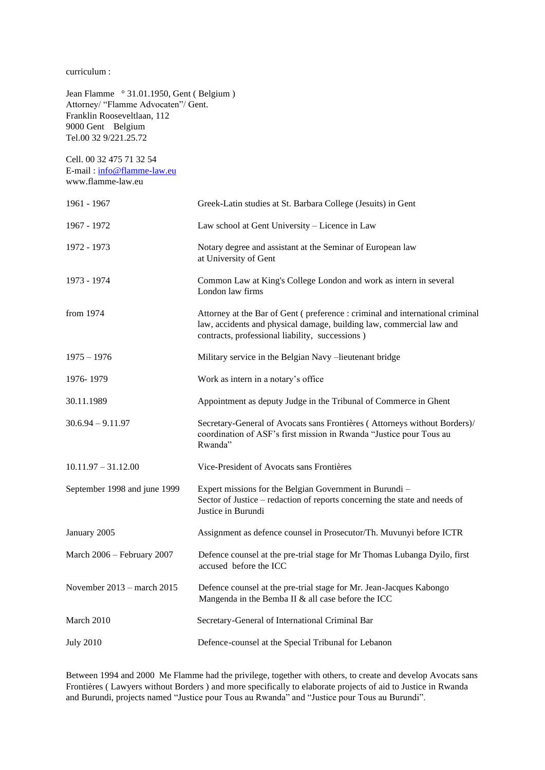curriculum :

Jean Flamme ° 31.01.1950, Gent ( Belgium ) Attorney/ "Flamme Advocaten"/ Gent. Franklin Rooseveltlaan, 112 9000 Gent Belgium Tel.00 32 9/221.25.72

Cell. 00 32 475 71 32 54 E-mail : [info@flamme-law.eu](mailto:info@flamme-law.eu) www.flamme-law.eu

| 1961 - 1967                  | Greek-Latin studies at St. Barbara College (Jesuits) in Gent                                                                                                                                            |
|------------------------------|---------------------------------------------------------------------------------------------------------------------------------------------------------------------------------------------------------|
| 1967 - 1972                  | Law school at Gent University - Licence in Law                                                                                                                                                          |
| 1972 - 1973                  | Notary degree and assistant at the Seminar of European law<br>at University of Gent                                                                                                                     |
| 1973 - 1974                  | Common Law at King's College London and work as intern in several<br>London law firms                                                                                                                   |
| from 1974                    | Attorney at the Bar of Gent (preference: criminal and international criminal<br>law, accidents and physical damage, building law, commercial law and<br>contracts, professional liability, successions) |
| $1975 - 1976$                | Military service in the Belgian Navy -lieutenant bridge                                                                                                                                                 |
| 1976-1979                    | Work as intern in a notary's office                                                                                                                                                                     |
| 30.11.1989                   | Appointment as deputy Judge in the Tribunal of Commerce in Ghent                                                                                                                                        |
| $30.6.94 - 9.11.97$          | Secretary-General of Avocats sans Frontières (Attorneys without Borders)/<br>coordination of ASF's first mission in Rwanda "Justice pour Tous au<br>Rwanda"                                             |
| $10.11.97 - 31.12.00$        | Vice-President of Avocats sans Frontières                                                                                                                                                               |
| September 1998 and june 1999 | Expert missions for the Belgian Government in Burundi -<br>Sector of Justice - redaction of reports concerning the state and needs of<br>Justice in Burundi                                             |
| January 2005                 | Assignment as defence counsel in Prosecutor/Th. Muvunyi before ICTR                                                                                                                                     |
| March 2006 - February 2007   | Defence counsel at the pre-trial stage for Mr Thomas Lubanga Dyilo, first<br>accused before the ICC                                                                                                     |
| November 2013 - march 2015   | Defence counsel at the pre-trial stage for Mr. Jean-Jacques Kabongo<br>Mangenda in the Bemba II & all case before the ICC                                                                               |
| March 2010                   | Secretary-General of International Criminal Bar                                                                                                                                                         |
| <b>July 2010</b>             | Defence-counsel at the Special Tribunal for Lebanon                                                                                                                                                     |

Between 1994 and 2000 Me Flamme had the privilege, together with others, to create and develop Avocats sans Frontières ( Lawyers without Borders ) and more specifically to elaborate projects of aid to Justice in Rwanda and Burundi, projects named "Justice pour Tous au Rwanda" and "Justice pour Tous au Burundi".